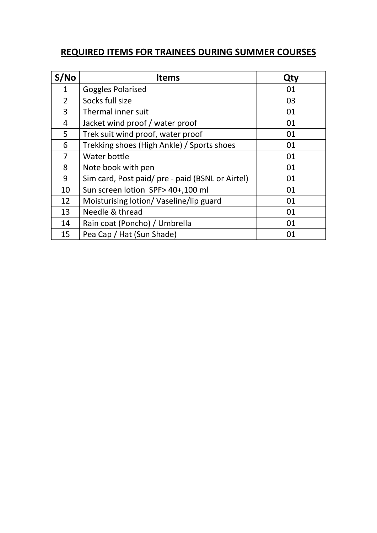## **REQUIRED ITEMS FOR TRAINEES DURING SUMMER COURSES**

| S/NO           | <b>Items</b>                                     | Qty |
|----------------|--------------------------------------------------|-----|
| 1              | <b>Goggles Polarised</b>                         | 01  |
| $\overline{2}$ | Socks full size                                  | 03  |
| 3              | Thermal inner suit                               | 01  |
| 4              | Jacket wind proof / water proof                  | 01  |
| 5              | Trek suit wind proof, water proof                | 01  |
| 6              | Trekking shoes (High Ankle) / Sports shoes       | 01  |
| 7              | Water bottle                                     | 01  |
| 8              | Note book with pen                               | 01  |
| 9              | Sim card, Post paid/ pre - paid (BSNL or Airtel) | 01  |
| 10             | Sun screen lotion SPF> 40+,100 ml                | 01  |
| 12             | Moisturising lotion/Vaseline/lip guard           | 01  |
| 13             | Needle & thread                                  | 01  |
| 14             | Rain coat (Poncho) / Umbrella                    | 01  |
| 15             | Pea Cap / Hat (Sun Shade)                        | 01  |